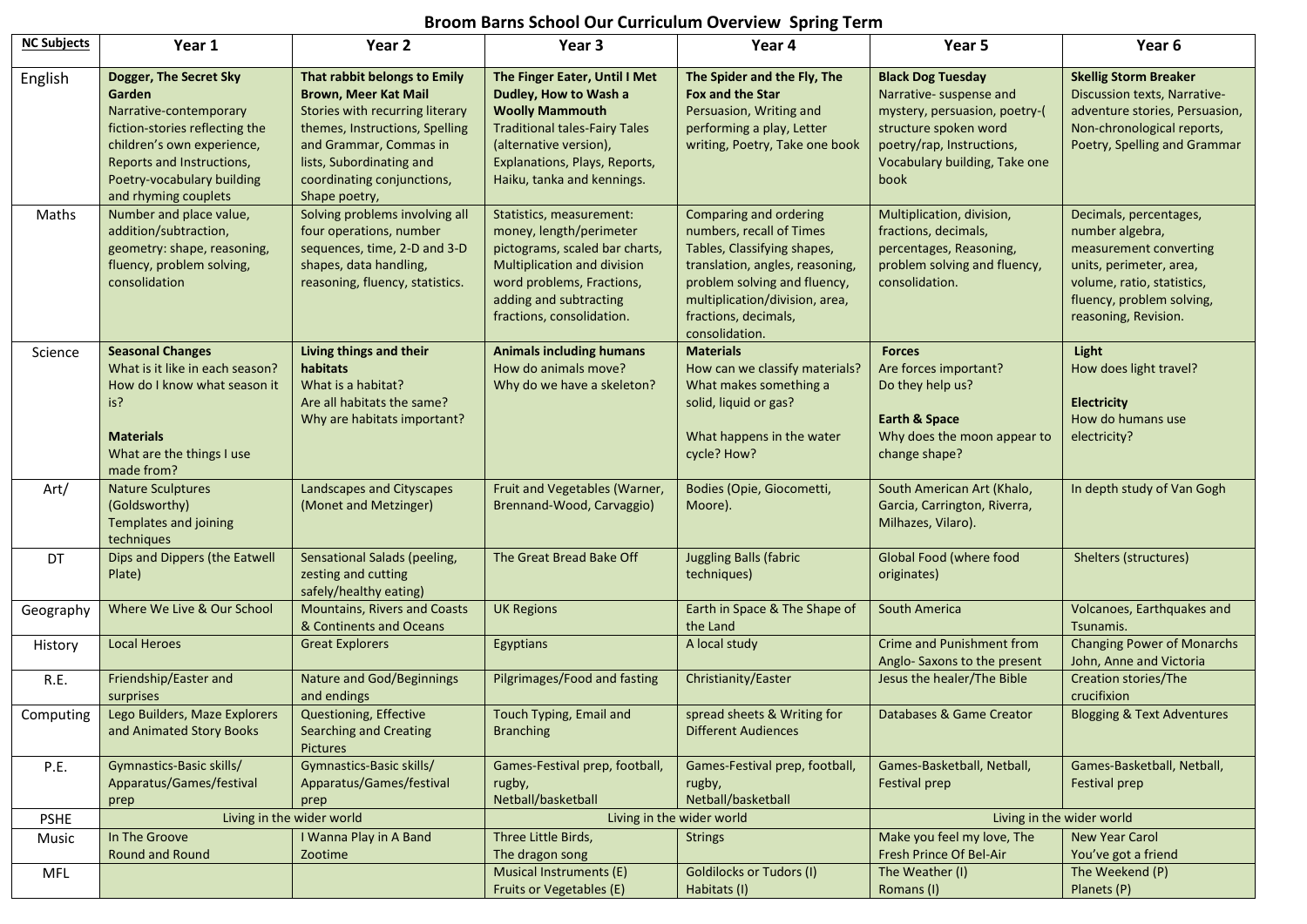## **Broom Barns School Our Curriculum Overview Spring Term**

| <b>NC Subjects</b> | Year 1                                                                                                                                                                                                        | Year 2                                                                                                                                                                                                                                | Year <sub>3</sub>                                                                                                                                                                                                 | Year 4                                                                                                                                                                                                                           | Year 5                                                                                                                                                                              | Year 6                                                                                                                                                                            |
|--------------------|---------------------------------------------------------------------------------------------------------------------------------------------------------------------------------------------------------------|---------------------------------------------------------------------------------------------------------------------------------------------------------------------------------------------------------------------------------------|-------------------------------------------------------------------------------------------------------------------------------------------------------------------------------------------------------------------|----------------------------------------------------------------------------------------------------------------------------------------------------------------------------------------------------------------------------------|-------------------------------------------------------------------------------------------------------------------------------------------------------------------------------------|-----------------------------------------------------------------------------------------------------------------------------------------------------------------------------------|
| English            | Dogger, The Secret Sky<br>Garden<br>Narrative-contemporary<br>fiction-stories reflecting the<br>children's own experience,<br>Reports and Instructions,<br>Poetry-vocabulary building<br>and rhyming couplets | That rabbit belongs to Emily<br><b>Brown, Meer Kat Mail</b><br>Stories with recurring literary<br>themes, Instructions, Spelling<br>and Grammar, Commas in<br>lists, Subordinating and<br>coordinating conjunctions,<br>Shape poetry, | The Finger Eater, Until I Met<br>Dudley, How to Wash a<br><b>Woolly Mammouth</b><br><b>Traditional tales-Fairy Tales</b><br>(alternative version),<br>Explanations, Plays, Reports,<br>Haiku, tanka and kennings. | The Spider and the Fly, The<br>Fox and the Star<br>Persuasion, Writing and<br>performing a play, Letter<br>writing, Poetry, Take one book                                                                                        | <b>Black Dog Tuesday</b><br>Narrative- suspense and<br>mystery, persuasion, poetry-(<br>structure spoken word<br>poetry/rap, Instructions,<br>Vocabulary building, Take one<br>book | <b>Skellig Storm Breaker</b><br>Discussion texts, Narrative-<br>adventure stories, Persuasion,<br>Non-chronological reports,<br>Poetry, Spelling and Grammar                      |
| Maths              | Number and place value,<br>addition/subtraction,<br>geometry: shape, reasoning,<br>fluency, problem solving,<br>consolidation                                                                                 | Solving problems involving all<br>four operations, number<br>sequences, time, 2-D and 3-D<br>shapes, data handling,<br>reasoning, fluency, statistics.                                                                                | Statistics, measurement:<br>money, length/perimeter<br>pictograms, scaled bar charts,<br><b>Multiplication and division</b><br>word problems, Fractions,<br>adding and subtracting<br>fractions, consolidation.   | Comparing and ordering<br>numbers, recall of Times<br>Tables, Classifying shapes,<br>translation, angles, reasoning,<br>problem solving and fluency,<br>multiplication/division, area,<br>fractions, decimals,<br>consolidation. | Multiplication, division,<br>fractions, decimals,<br>percentages, Reasoning,<br>problem solving and fluency,<br>consolidation.                                                      | Decimals, percentages,<br>number algebra,<br>measurement converting<br>units, perimeter, area,<br>volume, ratio, statistics,<br>fluency, problem solving,<br>reasoning, Revision. |
| Science            | <b>Seasonal Changes</b><br>What is it like in each season?<br>How do I know what season it<br>is?<br><b>Materials</b><br>What are the things I use<br>made from?                                              | Living things and their<br>habitats<br>What is a habitat?<br>Are all habitats the same?<br>Why are habitats important?                                                                                                                | <b>Animals including humans</b><br>How do animals move?<br>Why do we have a skeleton?                                                                                                                             | <b>Materials</b><br>How can we classify materials?<br>What makes something a<br>solid, liquid or gas?<br>What happens in the water<br>cycle? How?                                                                                | <b>Forces</b><br>Are forces important?<br>Do they help us?<br><b>Earth &amp; Space</b><br>Why does the moon appear to<br>change shape?                                              | Light<br>How does light travel?<br>Electricity<br>How do humans use<br>electricity?                                                                                               |
| Art/               | <b>Nature Sculptures</b><br>(Goldsworthy)<br><b>Templates and joining</b><br>techniques                                                                                                                       | Landscapes and Cityscapes<br>(Monet and Metzinger)                                                                                                                                                                                    | Fruit and Vegetables (Warner,<br>Brennand-Wood, Carvaggio)                                                                                                                                                        | Bodies (Opie, Giocometti,<br>Moore).                                                                                                                                                                                             | South American Art (Khalo,<br>Garcia, Carrington, Riverra,<br>Milhazes, Vilaro).                                                                                                    | In depth study of Van Gogh                                                                                                                                                        |
| DT                 | Dips and Dippers (the Eatwell<br>Plate)                                                                                                                                                                       | Sensational Salads (peeling,<br>zesting and cutting<br>safely/healthy eating)                                                                                                                                                         | The Great Bread Bake Off                                                                                                                                                                                          | <b>Juggling Balls (fabric</b><br>techniques)                                                                                                                                                                                     | Global Food (where food<br>originates)                                                                                                                                              | Shelters (structures)                                                                                                                                                             |
| Geography          | Where We Live & Our School                                                                                                                                                                                    | <b>Mountains, Rivers and Coasts</b><br>& Continents and Oceans                                                                                                                                                                        | <b>UK Regions</b>                                                                                                                                                                                                 | Earth in Space & The Shape of<br>the Land                                                                                                                                                                                        | South America                                                                                                                                                                       | Volcanoes, Earthquakes and<br>Tsunamis.                                                                                                                                           |
| History            | <b>Local Heroes</b>                                                                                                                                                                                           | <b>Great Explorers</b>                                                                                                                                                                                                                | Egyptians                                                                                                                                                                                                         | A local study                                                                                                                                                                                                                    | <b>Crime and Punishment from</b><br>Anglo-Saxons to the present                                                                                                                     | <b>Changing Power of Monarchs</b><br>John, Anne and Victoria                                                                                                                      |
| R.E.               | Friendship/Easter and<br>surprises                                                                                                                                                                            | <b>Nature and God/Beginnings</b><br>and endings                                                                                                                                                                                       | Pilgrimages/Food and fasting                                                                                                                                                                                      | Christianity/Easter                                                                                                                                                                                                              | Jesus the healer/The Bible                                                                                                                                                          | Creation stories/The<br>crucifixion                                                                                                                                               |
| Computing          | Lego Builders, Maze Explorers<br>and Animated Story Books                                                                                                                                                     | Questioning, Effective<br><b>Searching and Creating</b><br><b>Pictures</b>                                                                                                                                                            | Touch Typing, Email and<br><b>Branching</b>                                                                                                                                                                       | spread sheets & Writing for<br><b>Different Audiences</b>                                                                                                                                                                        | Databases & Game Creator                                                                                                                                                            | <b>Blogging &amp; Text Adventures</b>                                                                                                                                             |
| P.E.               | Gymnastics-Basic skills/<br>Apparatus/Games/festival<br>prep                                                                                                                                                  | Gymnastics-Basic skills/<br>Apparatus/Games/festival<br>prep                                                                                                                                                                          | Games-Festival prep, football,<br>rugby,<br>Netball/basketball                                                                                                                                                    | Games-Festival prep, football,<br>rugby,<br>Netball/basketball                                                                                                                                                                   | Games-Basketball, Netball,<br>Festival prep                                                                                                                                         | Games-Basketball, Netball,<br>Festival prep                                                                                                                                       |
| <b>PSHE</b>        | Living in the wider world                                                                                                                                                                                     |                                                                                                                                                                                                                                       | Living in the wider world                                                                                                                                                                                         |                                                                                                                                                                                                                                  | Living in the wider world                                                                                                                                                           |                                                                                                                                                                                   |
| Music              | In The Groove<br>Round and Round                                                                                                                                                                              | I Wanna Play in A Band<br>Zootime                                                                                                                                                                                                     | Three Little Birds,<br>The dragon song                                                                                                                                                                            | <b>Strings</b>                                                                                                                                                                                                                   | Make you feel my love, The<br>Fresh Prince Of Bel-Air                                                                                                                               | <b>New Year Carol</b><br>You've got a friend                                                                                                                                      |
| MFL                |                                                                                                                                                                                                               |                                                                                                                                                                                                                                       | Musical Instruments (E)<br>Fruits or Vegetables (E)                                                                                                                                                               | <b>Goldilocks or Tudors (I)</b><br>Habitats (I)                                                                                                                                                                                  | The Weather (I)<br>Romans (I)                                                                                                                                                       | The Weekend (P)<br>Planets (P)                                                                                                                                                    |